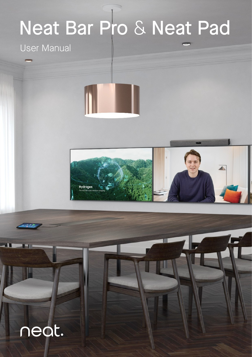# Neat Bar Pro & Neat Pad

### User Manual



### neat.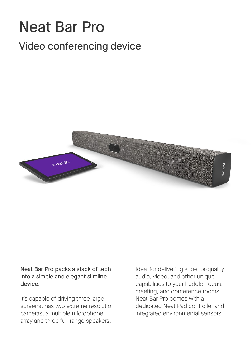### Neat Bar Pro Video conferencing device



Neat Bar Pro packs a stack of tech into a simple and elegant slimline device.

It's capable of driving three large screens, has two extreme resolution cameras, a multiple microphone array and three full-range speakers.

Ideal for delivering superior-quality audio, video, and other unique capabilities to your huddle, focus, meeting, and conference rooms, Neat Bar Pro comes with a dedicated Neat Pad controller and integrated environmental sensors.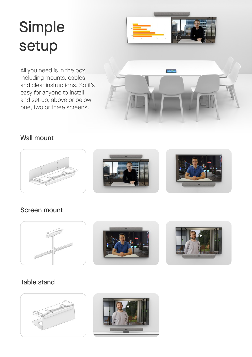## Simple setup



All you need is in the box, including mounts, cables and clear instructions. So it's easy for anyone to install and set-up, above or below one, two or three screens.



### Wall mount



### Screen mount



#### Table stand



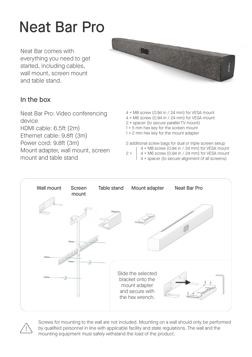### Neat Bar Pro

Neat Bar comes with everything you need to get started, including cables, wall mount, screen mount and table stand.



#### In the box

Neat Bar Pro: Video conferencing device HDMI cable: 6.5ft (2m) Ethernet cable: 9.8ft (3m) Power cord: 9.8ft (3m) Mount adapter, wall mount, screen mount and table stand

- 4 × M8 screw (0.94 in / 24 mm) for VESA mount 4 × M6 screw (0.94 in / 24 mm) for VESA mount 2 × spacer (to secure parallel TV mount)
- 
- $1 \times 5$  mm hex key for the screen mount 1 × 2 mm hex key for the mount adapter
- 2 additional screw bags for dual or triple screen setup
	- 4 × M8 screw (0.94 in / 24 mm) for VESA mount
- $2 \times$  4 × M6 screw (0.94 in / 24 mm) for VESA mount
	- 4 × spacer (to secure alignment of all screens)





Screws for mounting to the wall are not included. Mounting on a wall should only be performed by qualified personnel in line with applicable facility and state regulations. The wall and the mounting equipment must safely withstand the load of the product.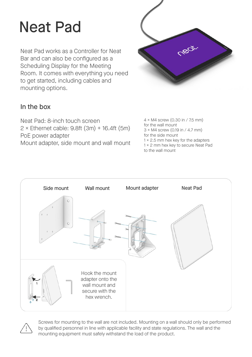### Neat Pad

Neat Pad works as a Controller for Neat Bar and can also be configured as a Scheduling Display for the Meeting Room. It comes with everything you need to get started, including cables and mounting options.



#### In the box

Neat Pad: 8-inch touch screen  $2 \times$  Ethernet cable: 9.8ft (3m) + 16.4ft (5m) PoE power adapter Mount adapter, side mount and wall mount 4 × M4 screw (0.30 in / 7.5 mm) for the wall mount 3 × M4 screw (0.19 in / 4.7 mm) for the side mount  $1 \times 2.5$  mm hex key for the adapters 1 × 2 mm hex key to secure Neat Pad to the wall mount





Screws for mounting to the wall are not included. Mounting on a wall should only be performed by qualified personnel in line with applicable facility and state regulations. The wall and the mounting equipment must safely withstand the load of the product.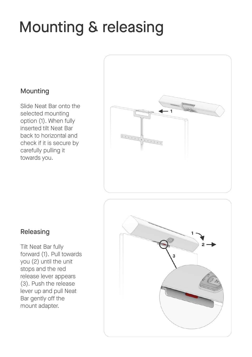### Mounting & releasing

#### Mounting

Slide Neat Bar onto the selected mounting option (1). When fully inserted tilt Neat Bar back to horizontal and check if it is secure by carefully pulling it towards you.



#### Releasing

Tilt Neat Bar fully forward (1). Pull towards you (2) until the unit stops and the red release lever appears (3). Push the release lever up and pull Neat Bar gently off the mount adapter.

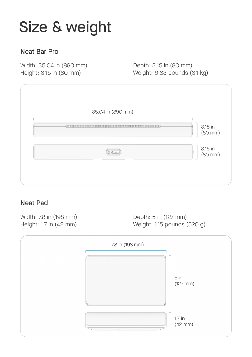### Size & weight

#### Neat Bar Pro

Width: 35.04 in (890 mm) Height: 3.15 in (80 mm)

Depth: 3.15 in (80 mm) Weight: 6.83 pounds (3.1 kg)

| 35.04 in (890 mm)                                                                                                                                                                                                              |                         |
|--------------------------------------------------------------------------------------------------------------------------------------------------------------------------------------------------------------------------------|-------------------------|
| (Contractor of the contractor of the contractor of the contractor of the contractor of the contractor of the contractor of the contractor of the contractor of the contractor of the contractor of the contractor of the contr | 3.15 in<br>$(80$ mm $)$ |
| (© 0 =                                                                                                                                                                                                                         | 3.15 in<br>$(80$ mm $)$ |
|                                                                                                                                                                                                                                |                         |

#### Neat Pad

Width: 7.8 in (198 mm) Height: 1.7 in (42 mm)

Depth: 5 in (127 mm) Weight: 1.15 pounds (520 g)